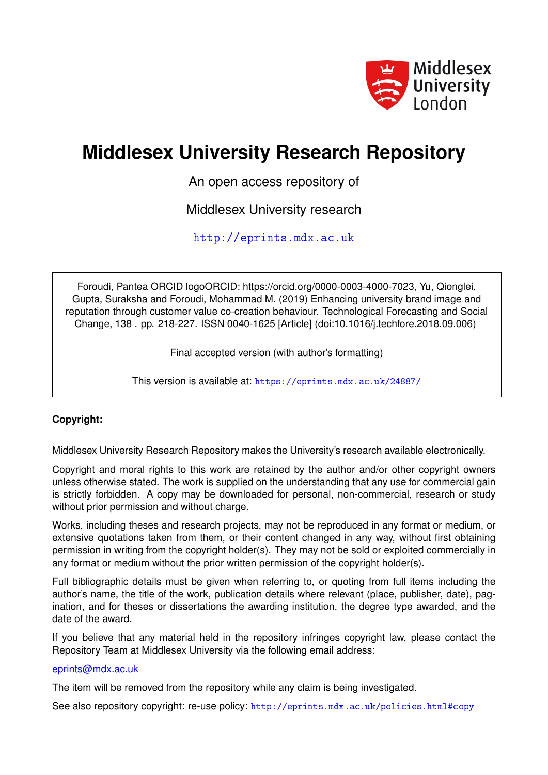

# **Middlesex University Research Repository**

An open access repository of

Middlesex University research

<http://eprints.mdx.ac.uk>

Foroudi, Pantea ORCID logoORCID: https://orcid.org/0000-0003-4000-7023, Yu, Qionglei, Gupta, Suraksha and Foroudi, Mohammad M. (2019) Enhancing university brand image and reputation through customer value co-creation behaviour. Technological Forecasting and Social Change, 138 . pp. 218-227. ISSN 0040-1625 [Article] (doi:10.1016/j.techfore.2018.09.006)

Final accepted version (with author's formatting)

This version is available at: <https://eprints.mdx.ac.uk/24887/>

# **Copyright:**

Middlesex University Research Repository makes the University's research available electronically.

Copyright and moral rights to this work are retained by the author and/or other copyright owners unless otherwise stated. The work is supplied on the understanding that any use for commercial gain is strictly forbidden. A copy may be downloaded for personal, non-commercial, research or study without prior permission and without charge.

Works, including theses and research projects, may not be reproduced in any format or medium, or extensive quotations taken from them, or their content changed in any way, without first obtaining permission in writing from the copyright holder(s). They may not be sold or exploited commercially in any format or medium without the prior written permission of the copyright holder(s).

Full bibliographic details must be given when referring to, or quoting from full items including the author's name, the title of the work, publication details where relevant (place, publisher, date), pagination, and for theses or dissertations the awarding institution, the degree type awarded, and the date of the award.

If you believe that any material held in the repository infringes copyright law, please contact the Repository Team at Middlesex University via the following email address:

### [eprints@mdx.ac.uk](mailto:eprints@mdx.ac.uk)

The item will be removed from the repository while any claim is being investigated.

See also repository copyright: re-use policy: <http://eprints.mdx.ac.uk/policies.html#copy>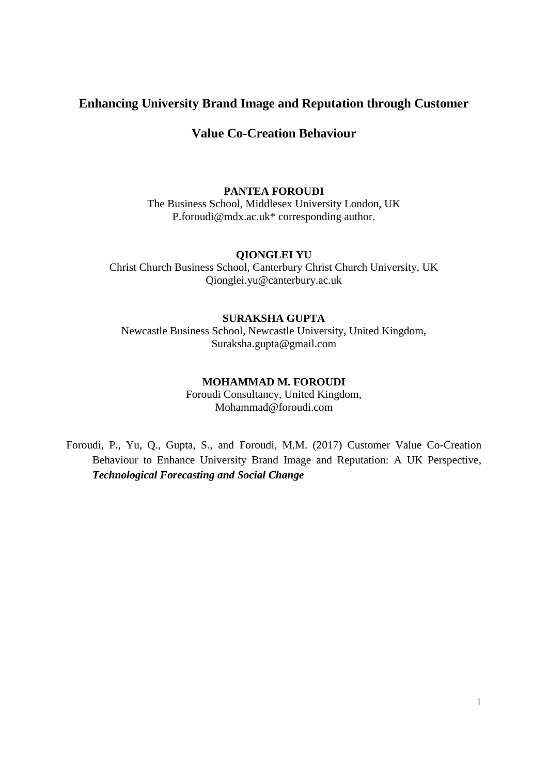# **Enhancing University Brand Image and Reputation through Customer**

# **Value Co-Creation Behaviour**

## **PANTEA FOROUDI**

The Business School, Middlesex University London, UK P.foroudi@mdx.ac.uk\* corresponding author.

#### **QIONGLEI YU**

Christ Church Business School, Canterbury Christ Church University, UK Qionglei.yu@canterbury.ac.uk

## **SURAKSHA GUPTA**

Newcastle Business School, Newcastle University, United Kingdom, Suraksha.gupta@gmail.com

# **MOHAMMAD M. FOROUDI**

Foroudi Consultancy, United Kingdom, Mohammad@foroudi.com

Foroudi, P., Yu, Q., Gupta, S., and Foroudi, M.M. (2017) Customer Value Co-Creation Behaviour to Enhance University Brand Image and Reputation: A UK Perspective, *Technological Forecasting and Social Change*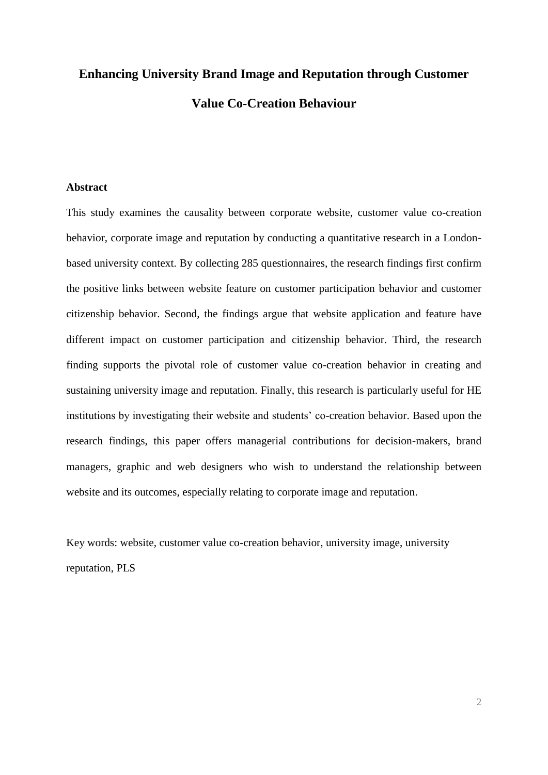# **Enhancing University Brand Image and Reputation through Customer Value Co-Creation Behaviour**

# **Abstract**

This study examines the causality between corporate website, customer value co-creation behavior, corporate image and reputation by conducting a quantitative research in a Londonbased university context. By collecting 285 questionnaires, the research findings first confirm the positive links between website feature on customer participation behavior and customer citizenship behavior. Second, the findings argue that website application and feature have different impact on customer participation and citizenship behavior. Third, the research finding supports the pivotal role of customer value co-creation behavior in creating and sustaining university image and reputation. Finally, this research is particularly useful for HE institutions by investigating their website and students' co-creation behavior. Based upon the research findings, this paper offers managerial contributions for decision-makers, brand managers, graphic and web designers who wish to understand the relationship between website and its outcomes, especially relating to corporate image and reputation.

Key words: website, customer value co-creation behavior, university image, university reputation, PLS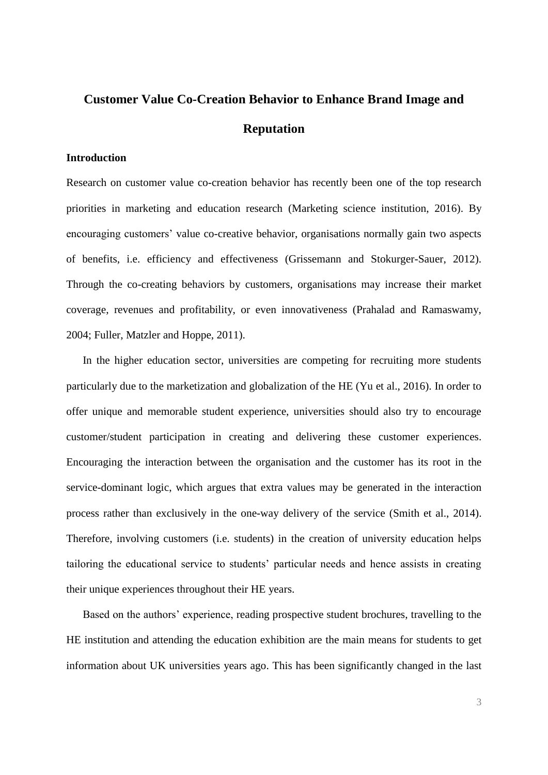# **Customer Value Co-Creation Behavior to Enhance Brand Image and Reputation**

#### **Introduction**

Research on customer value co-creation behavior has recently been one of the top research priorities in marketing and education research (Marketing science institution, 2016). By encouraging customers' value co-creative behavior, organisations normally gain two aspects of benefits, i.e. efficiency and effectiveness (Grissemann and Stokurger-Sauer, 2012). Through the co-creating behaviors by customers, organisations may increase their market coverage, revenues and profitability, or even innovativeness (Prahalad and Ramaswamy, 2004; Fuller, Matzler and Hoppe, 2011).

In the higher education sector, universities are competing for recruiting more students particularly due to the marketization and globalization of the HE (Yu et al., 2016). In order to offer unique and memorable student experience, universities should also try to encourage customer/student participation in creating and delivering these customer experiences. Encouraging the interaction between the organisation and the customer has its root in the service-dominant logic, which argues that extra values may be generated in the interaction process rather than exclusively in the one-way delivery of the service (Smith et al., 2014). Therefore, involving customers (i.e. students) in the creation of university education helps tailoring the educational service to students' particular needs and hence assists in creating their unique experiences throughout their HE years.

Based on the authors' experience, reading prospective student brochures, travelling to the HE institution and attending the education exhibition are the main means for students to get information about UK universities years ago. This has been significantly changed in the last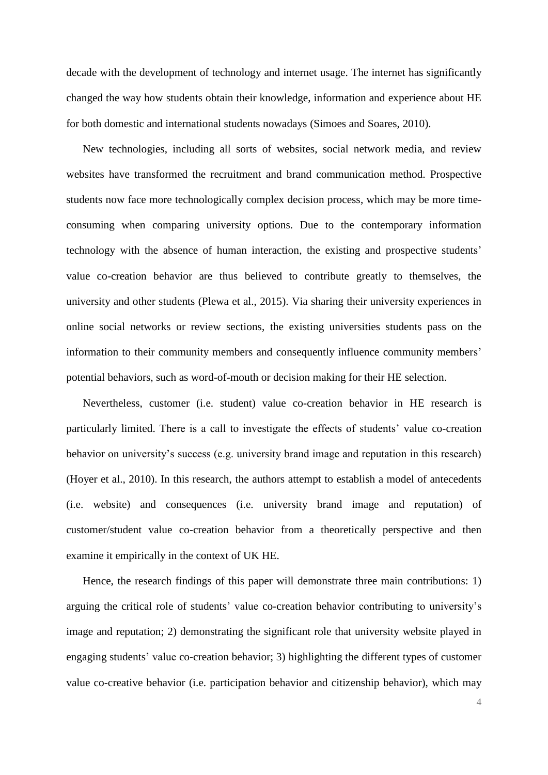decade with the development of technology and internet usage. The internet has significantly changed the way how students obtain their knowledge, information and experience about HE for both domestic and international students nowadays (Simoes and Soares, 2010).

New technologies, including all sorts of websites, social network media, and review websites have transformed the recruitment and brand communication method. Prospective students now face more technologically complex decision process, which may be more timeconsuming when comparing university options. Due to the contemporary information technology with the absence of human interaction, the existing and prospective students' value co-creation behavior are thus believed to contribute greatly to themselves, the university and other students (Plewa et al., 2015). Via sharing their university experiences in online social networks or review sections, the existing universities students pass on the information to their community members and consequently influence community members' potential behaviors, such as word-of-mouth or decision making for their HE selection.

Nevertheless, customer (i.e. student) value co-creation behavior in HE research is particularly limited. There is a call to investigate the effects of students' value co-creation behavior on university's success (e.g. university brand image and reputation in this research) (Hoyer et al., 2010). In this research, the authors attempt to establish a model of antecedents (i.e. website) and consequences (i.e. university brand image and reputation) of customer/student value co-creation behavior from a theoretically perspective and then examine it empirically in the context of UK HE.

Hence, the research findings of this paper will demonstrate three main contributions: 1) arguing the critical role of students' value co-creation behavior contributing to university's image and reputation; 2) demonstrating the significant role that university website played in engaging students' value co-creation behavior; 3) highlighting the different types of customer value co-creative behavior (i.e. participation behavior and citizenship behavior), which may

4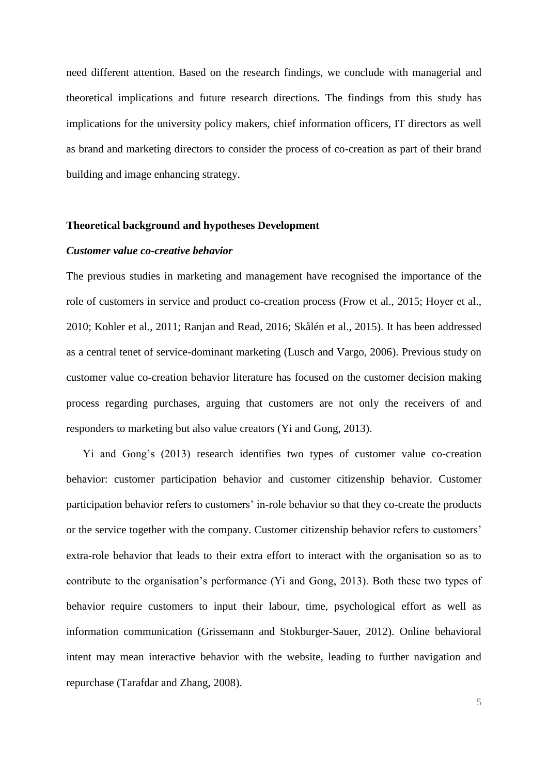need different attention. Based on the research findings, we conclude with managerial and theoretical implications and future research directions. The findings from this study has implications for the university policy makers, chief information officers, IT directors as well as brand and marketing directors to consider the process of co-creation as part of their brand building and image enhancing strategy.

#### **Theoretical background and hypotheses Development**

#### *Customer value co-creative behavior*

The previous studies in marketing and management have recognised the importance of the role of customers in service and product co-creation process (Frow et al., 2015; Hoyer et al., 2010; Kohler et al., 2011; Ranjan and Read, 2016; Skålén et al., 2015). It has been addressed as a central tenet of service-dominant marketing (Lusch and Vargo, 2006). Previous study on customer value co-creation behavior literature has focused on the customer decision making process regarding purchases, arguing that customers are not only the receivers of and responders to marketing but also value creators (Yi and Gong, 2013).

Yi and Gong's (2013) research identifies two types of customer value co-creation behavior: customer participation behavior and customer citizenship behavior. Customer participation behavior refers to customers' in-role behavior so that they co-create the products or the service together with the company. Customer citizenship behavior refers to customers' extra-role behavior that leads to their extra effort to interact with the organisation so as to contribute to the organisation's performance (Yi and Gong, 2013). Both these two types of behavior require customers to input their labour, time, psychological effort as well as information communication (Grissemann and Stokburger-Sauer, 2012). Online behavioral intent may mean interactive behavior with the website, leading to further navigation and repurchase (Tarafdar and Zhang, 2008).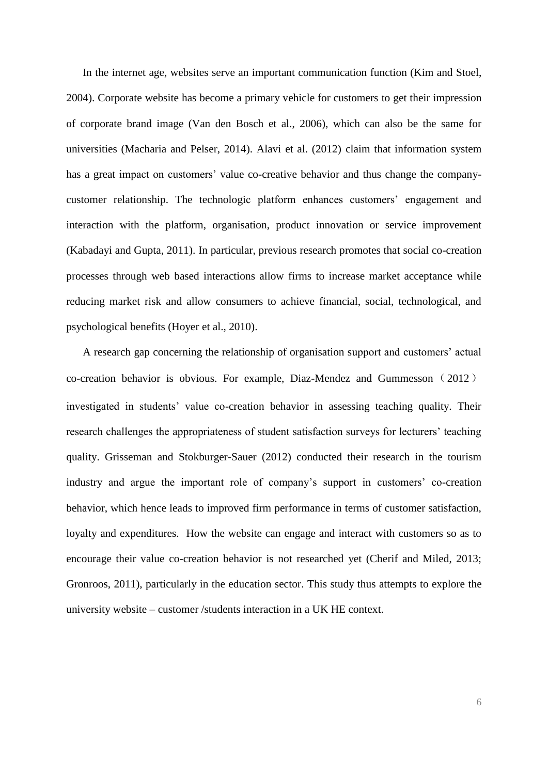In the internet age, websites serve an important communication function (Kim and Stoel, 2004). Corporate website has become a primary vehicle for customers to get their impression of corporate brand image (Van den Bosch et al., 2006), which can also be the same for universities (Macharia and Pelser, 2014). Alavi et al. (2012) claim that information system has a great impact on customers' value co-creative behavior and thus change the companycustomer relationship. The technologic platform enhances customers' engagement and interaction with the platform, organisation, product innovation or service improvement (Kabadayi and Gupta, 2011). In particular, previous research promotes that social co-creation processes through web based interactions allow firms to increase market acceptance while reducing market risk and allow consumers to achieve financial, social, technological, and psychological benefits (Hoyer et al., 2010).

A research gap concerning the relationship of organisation support and customers' actual co-creation behavior is obvious. For example, Diaz-Mendez and Gummesson(2012) investigated in students' value co-creation behavior in assessing teaching quality. Their research challenges the appropriateness of student satisfaction surveys for lecturers' teaching quality. Grisseman and Stokburger-Sauer (2012) conducted their research in the tourism industry and argue the important role of company's support in customers' co-creation behavior, which hence leads to improved firm performance in terms of customer satisfaction, loyalty and expenditures. How the website can engage and interact with customers so as to encourage their value co-creation behavior is not researched yet (Cherif and Miled, 2013; Gronroos, 2011), particularly in the education sector. This study thus attempts to explore the university website – customer /students interaction in a UK HE context.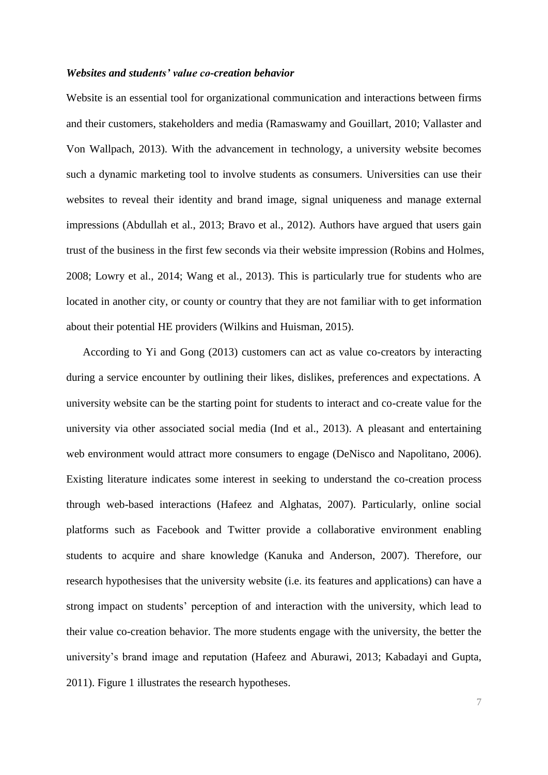#### *Websites and students' value co-creation behavior*

Website is an essential tool for organizational communication and interactions between firms and their customers, stakeholders and media (Ramaswamy and Gouillart, 2010; Vallaster and Von Wallpach, 2013). With the advancement in technology, a university website becomes such a dynamic marketing tool to involve students as consumers. Universities can use their websites to reveal their identity and brand image, signal uniqueness and manage external impressions (Abdullah et al., 2013; Bravo et al., 2012). Authors have argued that users gain trust of the business in the first few seconds via their website impression (Robins and Holmes, 2008; Lowry et al., 2014; Wang et al., 2013). This is particularly true for students who are located in another city, or county or country that they are not familiar with to get information about their potential HE providers (Wilkins and Huisman, 2015).

According to Yi and Gong (2013) customers can act as value co-creators by interacting during a service encounter by outlining their likes, dislikes, preferences and expectations. A university website can be the starting point for students to interact and co-create value for the university via other associated social media (Ind et al., 2013). A pleasant and entertaining web environment would attract more consumers to engage (DeNisco and Napolitano, 2006). Existing literature indicates some interest in seeking to understand the co-creation process through web-based interactions (Hafeez and Alghatas, 2007). Particularly, online social platforms such as Facebook and Twitter provide a collaborative environment enabling students to acquire and share knowledge (Kanuka and Anderson, 2007). Therefore, our research hypothesises that the university website (i.e. its features and applications) can have a strong impact on students' perception of and interaction with the university, which lead to their value co-creation behavior. The more students engage with the university, the better the university's brand image and reputation (Hafeez and Aburawi, 2013; Kabadayi and Gupta, 2011). Figure 1 illustrates the research hypotheses.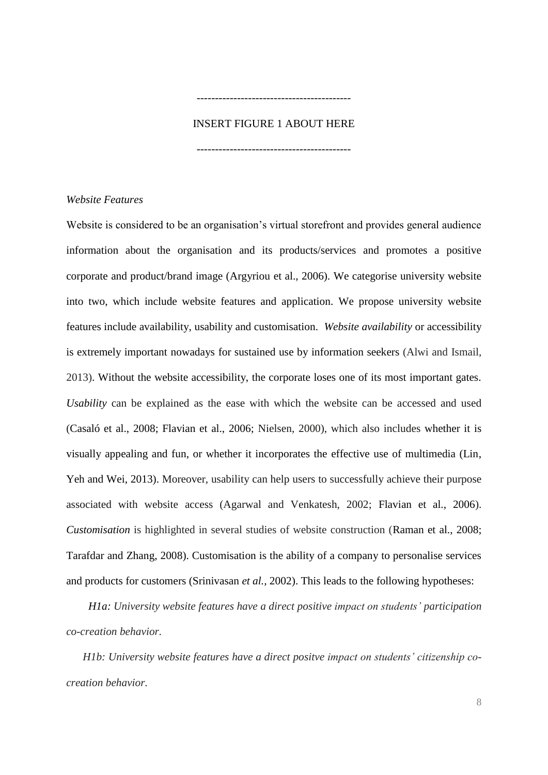## INSERT FIGURE 1 ABOUT HERE

------------------------------------------

------------------------------------------

*Website Features*

Website is considered to be an organisation's virtual storefront and provides general audience information about the organisation and its products/services and promotes a positive corporate and product/brand image (Argyriou et al., 2006). We categorise university website into two, which include website features and application. We propose university website features include availability, usability and customisation. *Website availability* or accessibility is extremely important nowadays for sustained use by information seekers (Alwi and Ismail, 2013). Without the website accessibility, the corporate loses one of its most important gates. *Usability* can be explained as the ease with which the website can be accessed and used (Casaló et al., 2008; Flavian et al., 2006; Nielsen, 2000), which also includes whether it is visually appealing and fun, or whether it incorporates the effective use of multimedia (Lin, Yeh and Wei, 2013). Moreover, usability can help users to successfully achieve their purpose associated with website access (Agarwal and Venkatesh, 2002; Flavian et al., 2006). *Customisation* is highlighted in several studies of website construction (Raman et al., 2008; Tarafdar and Zhang, 2008). Customisation is the ability of a company to personalise services and products for customers (Srinivasan *et al.,* 2002). This leads to the following hypotheses:

*H1a: University website features have a direct positive impact on students' participation co-creation behavior.* 

*H1b: University website features have a direct positve impact on students' citizenship cocreation behavior.*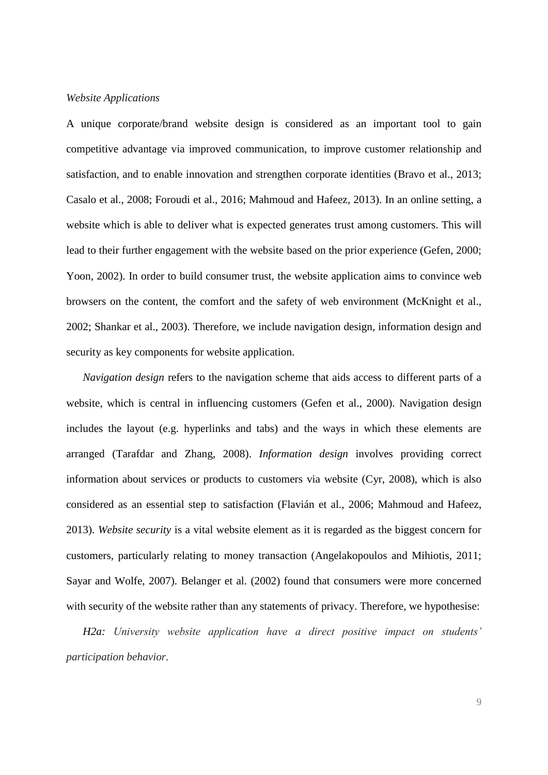#### *Website Applications*

A unique corporate/brand website design is considered as an important tool to gain competitive advantage via improved communication, to improve customer relationship and satisfaction, and to enable innovation and strengthen corporate identities (Bravo et al., 2013; Casalo et al., 2008; Foroudi et al., 2016; Mahmoud and Hafeez, 2013). In an online setting, a website which is able to deliver what is expected generates trust among customers. This will lead to their further engagement with the website based on the prior experience (Gefen, 2000; Yoon, 2002). In order to build consumer trust, the website application aims to convince web browsers on the content, the comfort and the safety of web environment (McKnight et al., 2002; Shankar et al., 2003). Therefore, we include navigation design, information design and security as key components for website application.

*Navigation design* refers to the navigation scheme that aids access to different parts of a website, which is central in influencing customers (Gefen et al., 2000). Navigation design includes the layout (e.g. hyperlinks and tabs) and the ways in which these elements are arranged (Tarafdar and Zhang, 2008). *Information design* involves providing correct information about services or products to customers via website (Cyr, 2008), which is also considered as an essential step to satisfaction (Flavián et al., 2006; Mahmoud and Hafeez, 2013). *Website security* is a vital website element as it is regarded as the biggest concern for customers, particularly relating to money transaction (Angelakopoulos and Mihiotis, 2011; Sayar and Wolfe, 2007). Belanger et al. (2002) found that consumers were more concerned with security of the website rather than any statements of privacy. Therefore, we hypothesise:

*H2a: University website application have a direct positive impact on students' participation behavior.*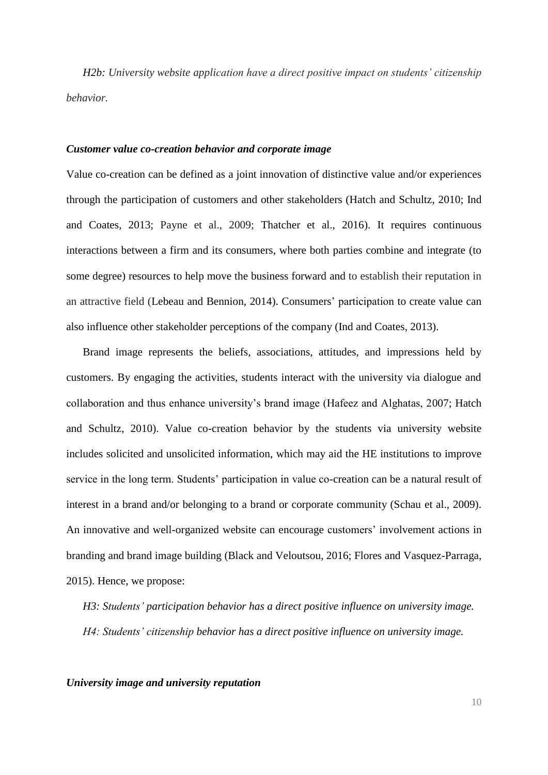*H2b: University website application have a direct positive impact on students' citizenship behavior.*

#### *Customer value co-creation behavior and corporate image*

Value co-creation can be defined as a joint innovation of distinctive value and/or experiences through the participation of customers and other stakeholders (Hatch and Schultz, 2010; Ind and Coates, 2013; Payne et al., 2009; Thatcher et al., 2016). It requires continuous interactions between a firm and its consumers, where both parties combine and integrate (to some degree) resources to help move the business forward and to establish their reputation in an attractive field (Lebeau and Bennion, 2014). Consumers' participation to create value can also influence other stakeholder perceptions of the company (Ind and Coates, 2013).

Brand image represents the beliefs, associations, attitudes, and impressions held by customers. By engaging the activities, students interact with the university via dialogue and collaboration and thus enhance university's brand image (Hafeez and Alghatas, 2007; Hatch and Schultz, 2010). Value co-creation behavior by the students via university website includes solicited and unsolicited information, which may aid the HE institutions to improve service in the long term. Students' participation in value co-creation can be a natural result of interest in a brand and/or belonging to a brand or corporate community (Schau et al., 2009). An innovative and well-organized website can encourage customers' involvement actions in branding and brand image building (Black and Veloutsou, 2016; Flores and Vasquez-Parraga, 2015). Hence, we propose:

*H3: Students' participation behavior has a direct positive influence on university image. H4: Students' citizenship behavior has a direct positive influence on university image.* 

*University image and university reputation*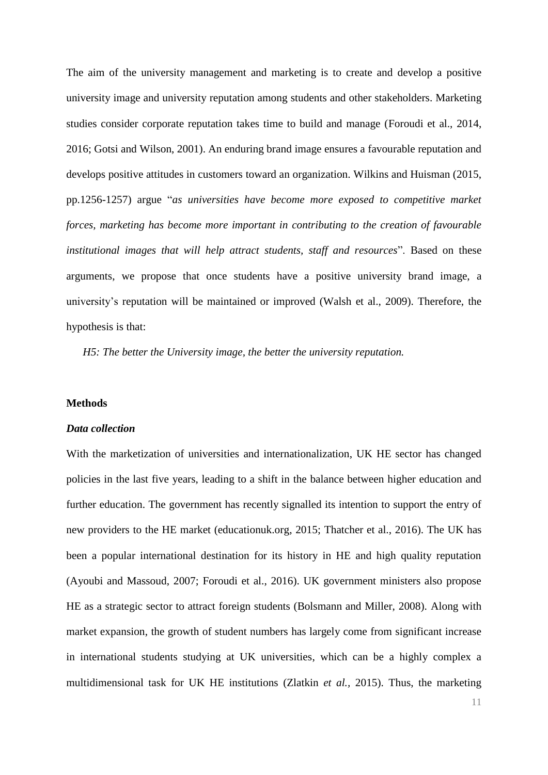The aim of the university management and marketing is to create and develop a positive university image and university reputation among students and other stakeholders. Marketing studies consider corporate reputation takes time to build and manage (Foroudi et al., 2014, 2016; Gotsi and Wilson, 2001). An enduring brand image ensures a favourable reputation and develops positive attitudes in customers toward an organization. Wilkins and Huisman (2015, pp.1256-1257) argue "*as universities have become more exposed to competitive market forces, marketing has become more important in contributing to the creation of favourable institutional images that will help attract students, staff and resources*". Based on these arguments, we propose that once students have a positive university brand image, a university's reputation will be maintained or improved (Walsh et al., 2009). Therefore, the hypothesis is that:

*H5: The better the University image, the better the university reputation.*

#### **Methods**

#### *Data collection*

With the marketization of universities and internationalization, UK HE sector has changed policies in the last five years, leading to a shift in the balance between higher education and further education. The government has recently signalled its intention to support the entry of new providers to the HE market (educationuk.org, 2015; Thatcher et al., 2016). The UK has been a popular international destination for its history in HE and high quality reputation (Ayoubi and Massoud, 2007; Foroudi et al., 2016). UK government ministers also propose HE as a strategic sector to attract foreign students (Bolsmann and Miller, 2008). Along with market expansion, the growth of student numbers has largely come from significant increase in international students studying at UK universities, which can be a highly complex a multidimensional task for UK HE institutions (Zlatkin *et al.,* 2015). Thus, the marketing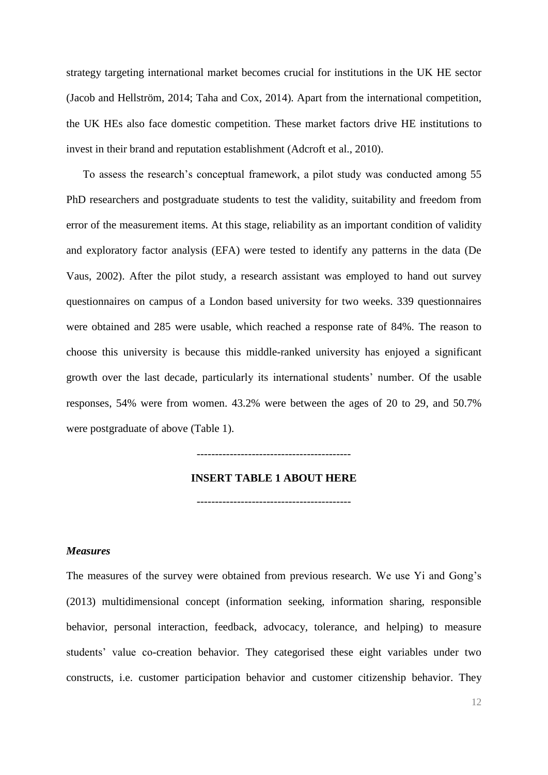strategy targeting international market becomes crucial for institutions in the UK HE sector (Jacob and Hellström, 2014; Taha and Cox, 2014). Apart from the international competition, the UK HEs also face domestic competition. These market factors drive HE institutions to invest in their brand and reputation establishment (Adcroft et al., 2010).

To assess the research's conceptual framework, a pilot study was conducted among 55 PhD researchers and postgraduate students to test the validity, suitability and freedom from error of the measurement items. At this stage, reliability as an important condition of validity and exploratory factor analysis (EFA) were tested to identify any patterns in the data (De Vaus, 2002). After the pilot study, a research assistant was employed to hand out survey questionnaires on campus of a London based university for two weeks. 339 questionnaires were obtained and 285 were usable, which reached a response rate of 84%. The reason to choose this university is because this middle-ranked university has enjoyed a significant growth over the last decade, particularly its international students' number. Of the usable responses, 54% were from women. 43.2% were between the ages of 20 to 29, and 50.7% were postgraduate of above (Table 1).

------------------------------------------

#### **INSERT TABLE 1 ABOUT HERE**

------------------------------------------

#### *Measures*

The measures of the survey were obtained from previous research. We use Yi and Gong's (2013) multidimensional concept (information seeking, information sharing, responsible behavior, personal interaction, feedback, advocacy, tolerance, and helping) to measure students' value co-creation behavior. They categorised these eight variables under two constructs, i.e. customer participation behavior and customer citizenship behavior. They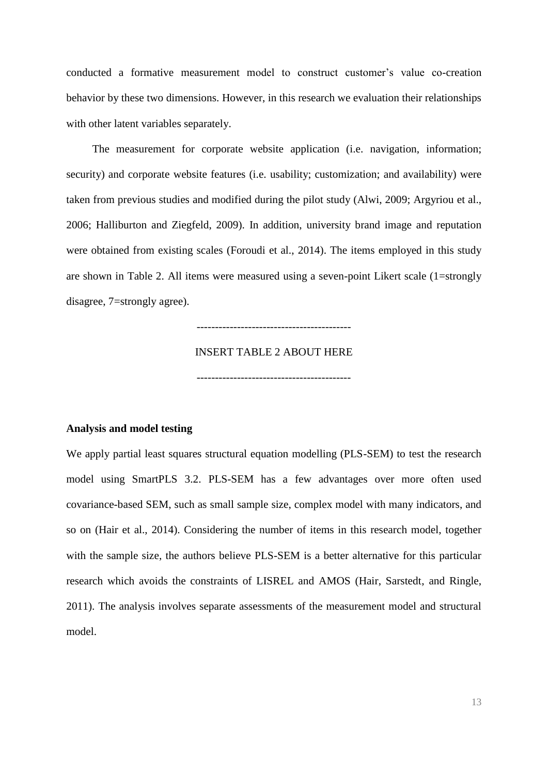conducted a formative measurement model to construct customer's value co-creation behavior by these two dimensions. However, in this research we evaluation their relationships with other latent variables separately.

The measurement for corporate website application (i.e. navigation, information; security) and corporate website features (i.e. usability; customization; and availability) were taken from previous studies and modified during the pilot study (Alwi, 2009; Argyriou et al., 2006; Halliburton and Ziegfeld, 2009). In addition, university brand image and reputation were obtained from existing scales (Foroudi et al., 2014). The items employed in this study are shown in Table 2. All items were measured using a seven-point Likert scale (1=strongly disagree, 7=strongly agree).

------------------------------------------

#### INSERT TABLE 2 ABOUT HERE

------------------------------------------

#### **Analysis and model testing**

We apply partial least squares structural equation modelling (PLS-SEM) to test the research model using SmartPLS 3.2. PLS-SEM has a few advantages over more often used covariance-based SEM, such as small sample size, complex model with many indicators, and so on (Hair et al., 2014). Considering the number of items in this research model, together with the sample size, the authors believe PLS-SEM is a better alternative for this particular research which avoids the constraints of LISREL and AMOS (Hair, Sarstedt, and Ringle, 2011). The analysis involves separate assessments of the measurement model and structural model.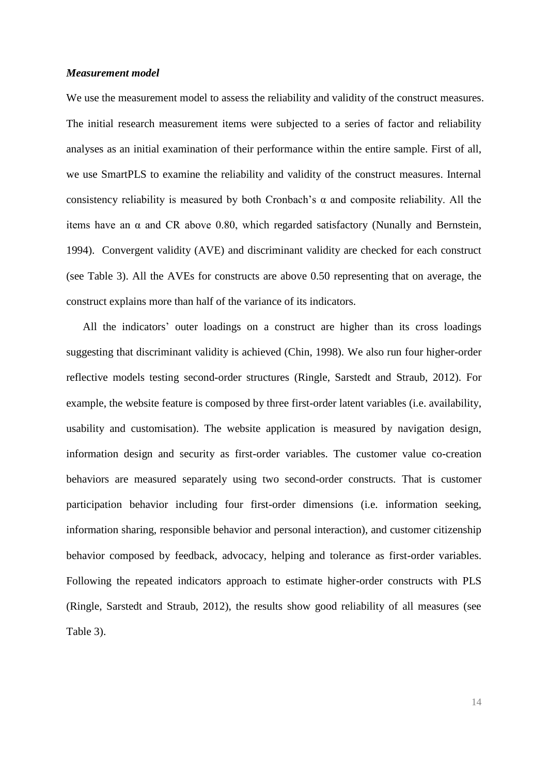#### *Measurement model*

We use the measurement model to assess the reliability and validity of the construct measures. The initial research measurement items were subjected to a series of factor and reliability analyses as an initial examination of their performance within the entire sample. First of all, we use SmartPLS to examine the reliability and validity of the construct measures. Internal consistency reliability is measured by both Cronbach's α and composite reliability. All the items have an  $\alpha$  and CR above 0.80, which regarded satisfactory (Nunally and Bernstein, 1994). Convergent validity (AVE) and discriminant validity are checked for each construct (see Table 3). All the AVEs for constructs are above 0.50 representing that on average, the construct explains more than half of the variance of its indicators.

All the indicators' outer loadings on a construct are higher than its cross loadings suggesting that discriminant validity is achieved (Chin, 1998). We also run four higher-order reflective models testing second-order structures (Ringle, Sarstedt and Straub, 2012). For example, the website feature is composed by three first-order latent variables (i.e. availability, usability and customisation). The website application is measured by navigation design, information design and security as first-order variables. The customer value co-creation behaviors are measured separately using two second-order constructs. That is customer participation behavior including four first-order dimensions (i.e. information seeking, information sharing, responsible behavior and personal interaction), and customer citizenship behavior composed by feedback, advocacy, helping and tolerance as first-order variables. Following the repeated indicators approach to estimate higher-order constructs with PLS (Ringle, Sarstedt and Straub, 2012), the results show good reliability of all measures (see Table 3).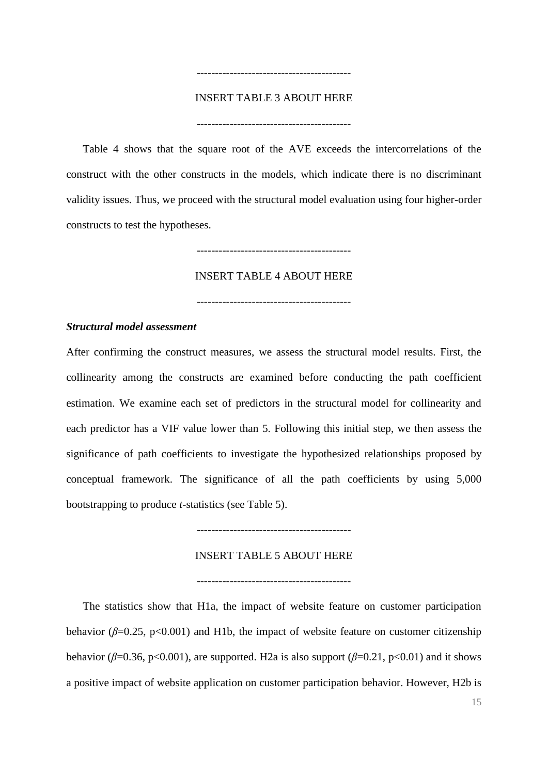## INSERT TABLE 3 ABOUT HERE

------------------------------------------

------------------------------------------

Table 4 shows that the square root of the AVE exceeds the intercorrelations of the construct with the other constructs in the models, which indicate there is no discriminant validity issues. Thus, we proceed with the structural model evaluation using four higher-order constructs to test the hypotheses.

------------------------------------------

INSERT TABLE 4 ABOUT HERE

#### *Structural model assessment*

After confirming the construct measures, we assess the structural model results. First, the collinearity among the constructs are examined before conducting the path coefficient estimation. We examine each set of predictors in the structural model for collinearity and each predictor has a VIF value lower than 5. Following this initial step, we then assess the significance of path coefficients to investigate the hypothesized relationships proposed by conceptual framework. The significance of all the path coefficients by using 5,000 bootstrapping to produce *t*-statistics (see Table 5).

------------------------------------------

#### INSERT TABLE 5 ABOUT HERE

------------------------------------------

The statistics show that H1a, the impact of website feature on customer participation behavior ( $\beta$ =0.25, p<0.001) and H1b, the impact of website feature on customer citizenship behavior ( $\beta$ =0.36, p<0.001), are supported. H2a is also support ( $\beta$ =0.21, p<0.01) and it shows a positive impact of website application on customer participation behavior. However, H2b is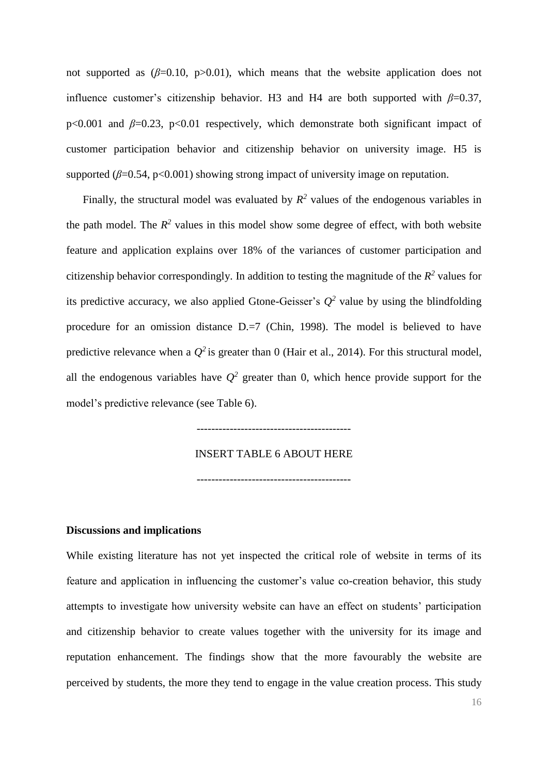not supported as  $(\beta=0.10, p>0.01)$ , which means that the website application does not influence customer's citizenship behavior. H3 and H4 are both supported with  $\beta$ =0.37, p<0.001 and *β*=0.23, p<0.01 respectively, which demonstrate both significant impact of customer participation behavior and citizenship behavior on university image. H5 is supported  $(\beta=0.54, p<0.001)$  showing strong impact of university image on reputation.

Finally, the structural model was evaluated by  $R^2$  values of the endogenous variables in the path model. The  $R^2$  values in this model show some degree of effect, with both website feature and application explains over 18% of the variances of customer participation and citizenship behavior correspondingly. In addition to testing the magnitude of the  $R^2$  values for its predictive accuracy, we also applied Gtone-Geisser's  $Q^2$  value by using the blindfolding procedure for an omission distance D.=7 (Chin, 1998). The model is believed to have predictive relevance when a  $Q^2$  is greater than 0 (Hair et al., 2014). For this structural model, all the endogenous variables have  $Q^2$  greater than 0, which hence provide support for the model's predictive relevance (see Table 6).

#### INSERT TABLE 6 ABOUT HERE

------------------------------------------

------------------------------------------

**Discussions and implications**

While existing literature has not yet inspected the critical role of website in terms of its feature and application in influencing the customer's value co-creation behavior, this study attempts to investigate how university website can have an effect on students' participation and citizenship behavior to create values together with the university for its image and reputation enhancement. The findings show that the more favourably the website are perceived by students, the more they tend to engage in the value creation process. This study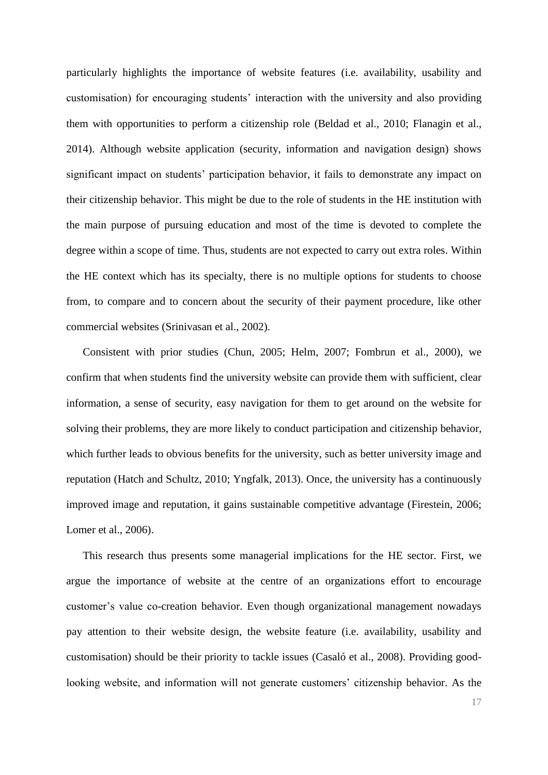particularly highlights the importance of website features (i.e. availability, usability and customisation) for encouraging students' interaction with the university and also providing them with opportunities to perform a citizenship role (Beldad et al., 2010; Flanagin et al., 2014). Although website application (security, information and navigation design) shows significant impact on students' participation behavior, it fails to demonstrate any impact on their citizenship behavior. This might be due to the role of students in the HE institution with the main purpose of pursuing education and most of the time is devoted to complete the degree within a scope of time. Thus, students are not expected to carry out extra roles. Within the HE context which has its specialty, there is no multiple options for students to choose from, to compare and to concern about the security of their payment procedure, like other commercial websites (Srinivasan et al., 2002).

Consistent with prior studies (Chun, 2005; Helm, 2007; Fombrun et al., 2000), we confirm that when students find the university website can provide them with sufficient, clear information, a sense of security, easy navigation for them to get around on the website for solving their problems, they are more likely to conduct participation and citizenship behavior, which further leads to obvious benefits for the university, such as better university image and reputation (Hatch and Schultz, 2010; Yngfalk, 2013). Once, the university has a continuously improved image and reputation, it gains sustainable competitive advantage (Firestein, 2006; Lomer et al., 2006).

This research thus presents some managerial implications for the HE sector. First, we argue the importance of website at the centre of an organizations effort to encourage customer's value co-creation behavior. Even though organizational management nowadays pay attention to their website design, the website feature (i.e. availability, usability and customisation) should be their priority to tackle issues (Casaló et al., 2008). Providing goodlooking website, and information will not generate customers' citizenship behavior. As the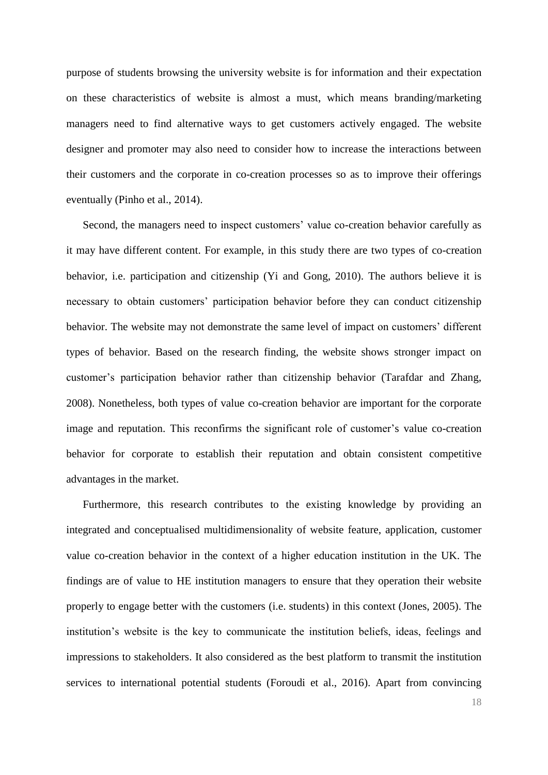purpose of students browsing the university website is for information and their expectation on these characteristics of website is almost a must, which means branding/marketing managers need to find alternative ways to get customers actively engaged. The website designer and promoter may also need to consider how to increase the interactions between their customers and the corporate in co-creation processes so as to improve their offerings eventually (Pinho et al., 2014).

Second, the managers need to inspect customers' value co-creation behavior carefully as it may have different content. For example, in this study there are two types of co-creation behavior, i.e. participation and citizenship (Yi and Gong, 2010). The authors believe it is necessary to obtain customers' participation behavior before they can conduct citizenship behavior. The website may not demonstrate the same level of impact on customers' different types of behavior. Based on the research finding, the website shows stronger impact on customer's participation behavior rather than citizenship behavior (Tarafdar and Zhang, 2008). Nonetheless, both types of value co-creation behavior are important for the corporate image and reputation. This reconfirms the significant role of customer's value co-creation behavior for corporate to establish their reputation and obtain consistent competitive advantages in the market.

Furthermore, this research contributes to the existing knowledge by providing an integrated and conceptualised multidimensionality of website feature, application, customer value co-creation behavior in the context of a higher education institution in the UK. The findings are of value to HE institution managers to ensure that they operation their website properly to engage better with the customers (i.e. students) in this context (Jones, 2005). The institution's website is the key to communicate the institution beliefs, ideas, feelings and impressions to stakeholders. It also considered as the best platform to transmit the institution services to international potential students (Foroudi et al., 2016). Apart from convincing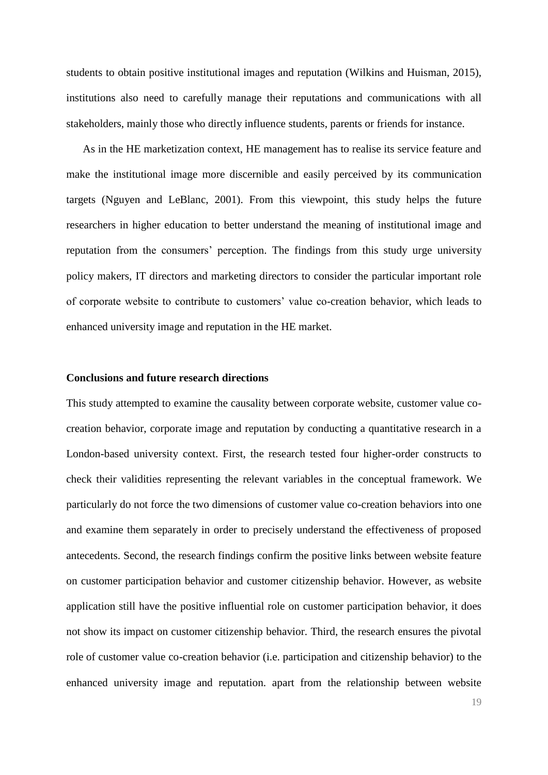students to obtain positive institutional images and reputation (Wilkins and Huisman, 2015), institutions also need to carefully manage their reputations and communications with all stakeholders, mainly those who directly influence students, parents or friends for instance.

As in the HE marketization context, HE management has to realise its service feature and make the institutional image more discernible and easily perceived by its communication targets (Nguyen and LeBlanc, 2001). From this viewpoint, this study helps the future researchers in higher education to better understand the meaning of institutional image and reputation from the consumers' perception. The findings from this study urge university policy makers, IT directors and marketing directors to consider the particular important role of corporate website to contribute to customers' value co-creation behavior, which leads to enhanced university image and reputation in the HE market.

#### **Conclusions and future research directions**

This study attempted to examine the causality between corporate website, customer value cocreation behavior, corporate image and reputation by conducting a quantitative research in a London-based university context. First, the research tested four higher-order constructs to check their validities representing the relevant variables in the conceptual framework. We particularly do not force the two dimensions of customer value co-creation behaviors into one and examine them separately in order to precisely understand the effectiveness of proposed antecedents. Second, the research findings confirm the positive links between website feature on customer participation behavior and customer citizenship behavior. However, as website application still have the positive influential role on customer participation behavior, it does not show its impact on customer citizenship behavior. Third, the research ensures the pivotal role of customer value co-creation behavior (i.e. participation and citizenship behavior) to the enhanced university image and reputation. apart from the relationship between website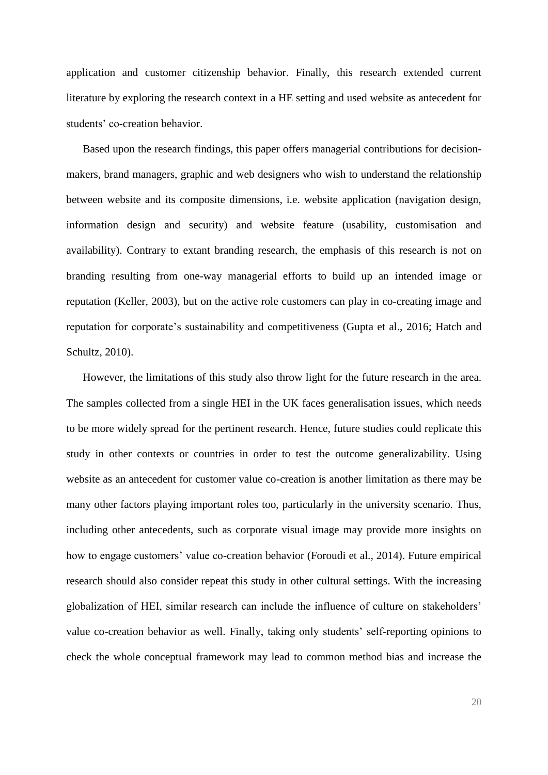application and customer citizenship behavior. Finally, this research extended current literature by exploring the research context in a HE setting and used website as antecedent for students' co-creation behavior.

Based upon the research findings, this paper offers managerial contributions for decisionmakers, brand managers, graphic and web designers who wish to understand the relationship between website and its composite dimensions, i.e. website application (navigation design, information design and security) and website feature (usability, customisation and availability). Contrary to extant branding research, the emphasis of this research is not on branding resulting from one-way managerial efforts to build up an intended image or reputation (Keller, 2003), but on the active role customers can play in co-creating image and reputation for corporate's sustainability and competitiveness (Gupta et al., 2016; Hatch and Schultz, 2010).

However, the limitations of this study also throw light for the future research in the area. The samples collected from a single HEI in the UK faces generalisation issues, which needs to be more widely spread for the pertinent research. Hence, future studies could replicate this study in other contexts or countries in order to test the outcome generalizability. Using website as an antecedent for customer value co-creation is another limitation as there may be many other factors playing important roles too, particularly in the university scenario. Thus, including other antecedents, such as corporate visual image may provide more insights on how to engage customers' value co-creation behavior (Foroudi et al., 2014). Future empirical research should also consider repeat this study in other cultural settings. With the increasing globalization of HEI, similar research can include the influence of culture on stakeholders' value co-creation behavior as well. Finally, taking only students' self-reporting opinions to check the whole conceptual framework may lead to common method bias and increase the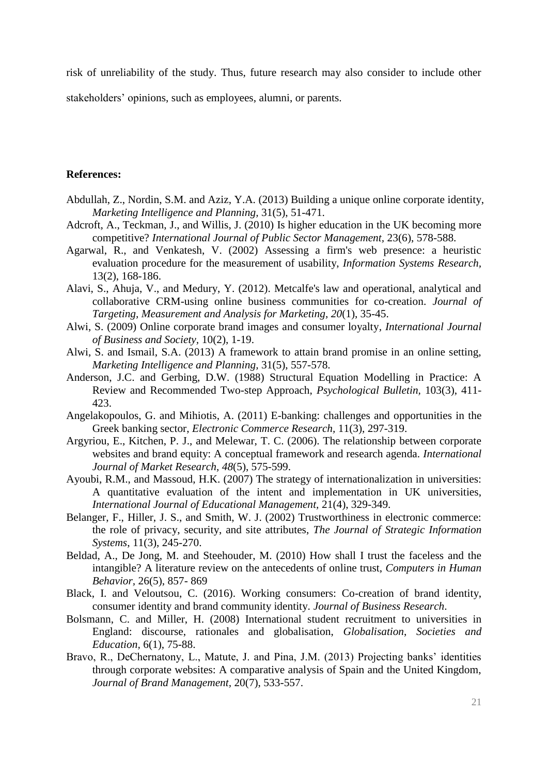risk of unreliability of the study. Thus, future research may also consider to include other

stakeholders' opinions, such as employees, alumni, or parents.

#### **References:**

- Abdullah, Z., Nordin, S.M. and Aziz, Y.A. (2013) Building a unique online corporate identity, *Marketing Intelligence and Planning,* 31(5), 51-471.
- Adcroft, A., Teckman, J., and Willis, J. (2010) Is higher education in the UK becoming more competitive? *International Journal of Public Sector Management,* 23(6), 578-588.
- Agarwal, R., and Venkatesh, V. (2002) Assessing a firm's web presence: a heuristic evaluation procedure for the measurement of usability, *Information Systems Research,* 13(2), 168-186.
- Alavi, S., Ahuja, V., and Medury, Y. (2012). Metcalfe's law and operational, analytical and collaborative CRM-using online business communities for co-creation. *Journal of Targeting, Measurement and Analysis for Marketing*, *20*(1), 35-45.
- Alwi, S. (2009) Online corporate brand images and consumer loyalty*, International Journal of Business and Society,* 10(2), 1-19.
- Alwi, S. and Ismail, S.A. (2013) A framework to attain brand promise in an online setting, *Marketing Intelligence and Planning,* 31(5), 557-578.
- Anderson, J.C. and Gerbing, D.W. (1988) Structural Equation Modelling in Practice: A Review and Recommended Two-step Approach, *Psychological Bulletin,* 103(3), 411- 423.
- Angelakopoulos, G. and Mihiotis, A. (2011) E-banking: challenges and opportunities in the Greek banking sector, *Electronic Commerce Research,* 11(3), 297-319.
- Argyriou, E., Kitchen, P. J., and Melewar, T. C. (2006). The relationship between corporate websites and brand equity: A conceptual framework and research agenda. *International Journal of Market Research*, *48*(5), 575-599.
- Ayoubi, R.M., and Massoud, H.K. (2007) The strategy of internationalization in universities: A quantitative evaluation of the intent and implementation in UK universities, *International Journal of Educational Management,* 21(4), 329-349.
- Belanger, F., Hiller, J. S., and Smith, W. J. (2002) Trustworthiness in electronic commerce: the role of privacy, security, and site attributes, *The Journal of Strategic Information Systems*, 11(3), 245-270.
- Beldad, A., De Jong, M. and Steehouder, M. (2010) How shall I trust the faceless and the intangible? A literature review on the antecedents of online trust, *Computers in Human Behavior,* 26(5), 857- 869
- Black, I. and Veloutsou, C. (2016). Working consumers: Co-creation of brand identity, consumer identity and brand community identity. *Journal of Business Research*.
- Bolsmann, C. and Miller, H. (2008) International student recruitment to universities in England: discourse, rationales and globalisation, *Globalisation*, *Societies and Education,* 6(1), 75-88.
- Bravo, R., DeChernatony, L., Matute, J. and Pina, J.M. (2013) Projecting banks' identities through corporate websites: A comparative analysis of Spain and the United Kingdom, *Journal of Brand Management,* 20(7), 533-557.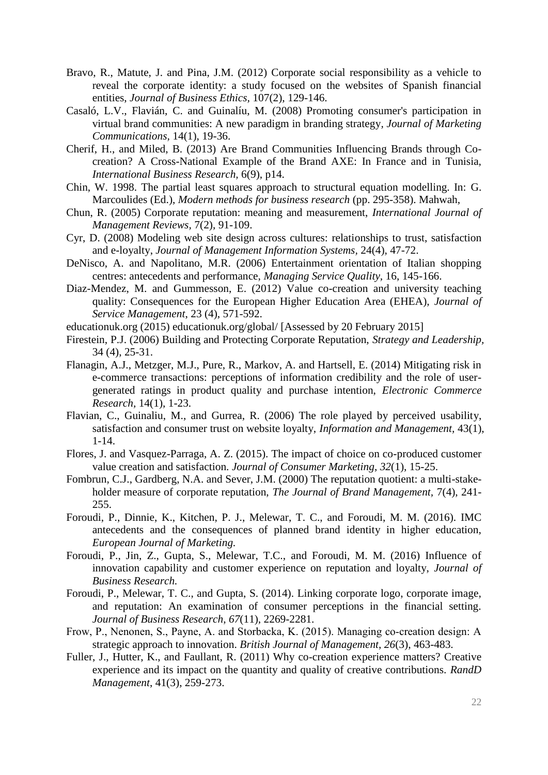- Bravo, R., Matute, J. and Pina, J.M. (2012) Corporate social responsibility as a vehicle to reveal the corporate identity: a study focused on the websites of Spanish financial entities, *Journal of Business Ethics,* 107(2), 129-146.
- Casaló, L.V., Flavián, C. and Guinalíu, M. (2008) Promoting consumer's participation in virtual brand communities: A new paradigm in branding strategy*, Journal of Marketing Communications,* 14(1), 19-36.
- Cherif, H., and Miled, B. (2013) Are Brand Communities Influencing Brands through Cocreation? A Cross-National Example of the Brand AXE: In France and in Tunisia, *International Business Research,* 6(9), p14.
- Chin, W. 1998. The partial least squares approach to structural equation modelling. In: G. Marcoulides (Ed.), *Modern methods for business research* (pp. 295-358). Mahwah,
- Chun, R. (2005) Corporate reputation: meaning and measurement, *International Journal of Management Reviews,* 7(2), 91-109.
- Cyr, D. (2008) Modeling web site design across cultures: relationships to trust, satisfaction and e-loyalty, *Journal of Management Information Systems,* 24(4), 47-72.
- DeNisco, A. and Napolitano, M.R. (2006) Entertainment orientation of Italian shopping centres: antecedents and performance, *Managing Service Quality,* 16, 145-166.
- Diaz-Mendez, M. and Gummesson, E. (2012) Value co-creation and university teaching quality: Consequences for the European Higher Education Area (EHEA), *Journal of Service Management*, 23 (4), 571-592.
- educationuk.org (2015) educationuk.org/global/ [Assessed by 20 February 2015]
- Firestein, P.J. (2006) Building and Protecting Corporate Reputation, *Strategy and Leadership,* 34 (4), 25-31.
- Flanagin, A.J., Metzger, M.J., Pure, R., Markov, A. and Hartsell, E. (2014) Mitigating risk in e-commerce transactions: perceptions of information credibility and the role of usergenerated ratings in product quality and purchase intention, *Electronic Commerce Research,* 14(1), 1-23.
- Flavian, C., Guinaliu, M., and Gurrea, R. (2006) The role played by perceived usability, satisfaction and consumer trust on website loyalty, *Information and Management,* 43(1), 1-14.
- Flores, J. and Vasquez-Parraga, A. Z. (2015). The impact of choice on co-produced customer value creation and satisfaction. *Journal of Consumer Marketing*, *32*(1), 15-25.
- Fombrun, C.J., Gardberg, N.A. and Sever, J.M. (2000) The reputation quotient: a multi-stakeholder measure of corporate reputation, *The Journal of Brand Management,* 7(4), 241- 255.
- Foroudi, P., Dinnie, K., Kitchen, P. J., Melewar, T. C., and Foroudi, M. M. (2016). IMC antecedents and the consequences of planned brand identity in higher education, *European Journal of Marketing.*
- Foroudi, P., Jin, Z., Gupta, S., Melewar, T.C., and Foroudi, M. M. (2016) Influence of innovation capability and customer experience on reputation and loyalty, *Journal of Business Research.*
- Foroudi, P., Melewar, T. C., and Gupta, S. (2014). Linking corporate logo, corporate image, and reputation: An examination of consumer perceptions in the financial setting. *Journal of Business Research*, *67*(11), 2269-2281.
- Frow, P., Nenonen, S., Payne, A. and Storbacka, K. (2015). Managing co‐creation design: A strategic approach to innovation. *British Journal of Management*, *26*(3), 463-483.
- Fuller, J., Hutter, K., and Faullant, R. (2011) Why co-creation experience matters? Creative experience and its impact on the quantity and quality of creative contributions. *RandD Management*, 41(3), 259-273.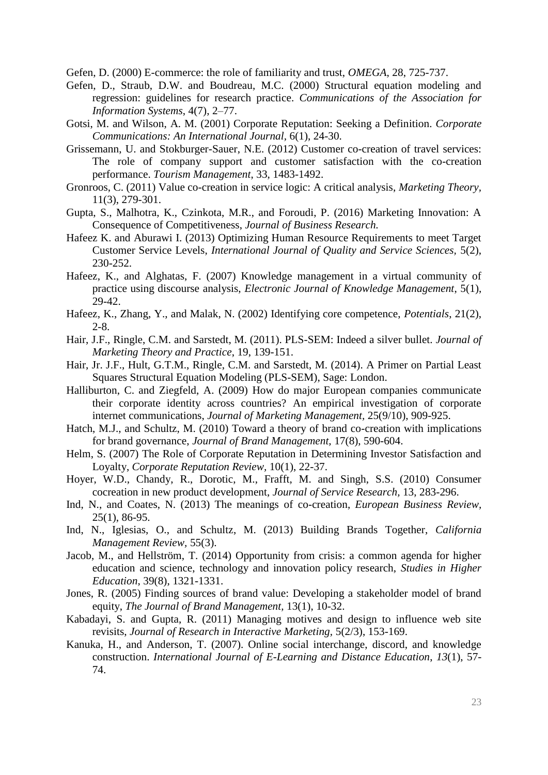Gefen, D. (2000) E-commerce: the role of familiarity and trust, *OMEGA*, 28, 725-737.

- Gefen, D., Straub, D.W. and Boudreau, M.C. (2000) Structural equation modeling and regression: guidelines for research practice. *Communications of the Association for Information Systems*, 4(7), 2–77.
- Gotsi, M. and Wilson, A. M. (2001) Corporate Reputation: Seeking a Definition. *Corporate Communications: An International Journal,* 6(1), 24-30.
- Grissemann, U. and Stokburger-Sauer, N.E. (2012) Customer co-creation of travel services: The role of company support and customer satisfaction with the co-creation performance. *Tourism Management*, 33, 1483-1492.
- Gronroos, C. (2011) Value co-creation in service logic: A critical analysis, *Marketing Theory,* 11(3), 279-301.
- Gupta, S., Malhotra, K., Czinkota, M.R., and Foroudi, P. (2016) Marketing Innovation: A Consequence of Competitiveness, *Journal of Business Research.*
- Hafeez K. and Aburawi I. (2013) Optimizing Human Resource Requirements to meet Target Customer Service Levels, *International Journal of Quality and Service Sciences,* 5(2), 230-252.
- Hafeez, K., and Alghatas, F. (2007) Knowledge management in a virtual community of practice using discourse analysis, *Electronic Journal of Knowledge Management*, 5(1), 29-42.
- Hafeez, K., Zhang, Y., and Malak, N. (2002) Identifying core competence, *Potentials*, 21(2), 2-8.
- Hair, J.F., Ringle, C.M. and Sarstedt, M. (2011). PLS-SEM: Indeed a silver bullet. *Journal of Marketing Theory and Practice*, 19, 139-151.
- Hair, Jr. J.F., Hult, G.T.M., Ringle, C.M. and Sarstedt, M. (2014). A Primer on Partial Least Squares Structural Equation Modeling (PLS-SEM), Sage: London.
- Halliburton, C. and Ziegfeld, A. (2009) How do major European companies communicate their corporate identity across countries? An empirical investigation of corporate internet communications, *Journal of Marketing Management,* 25(9/10), 909-925.
- Hatch, M.J., and Schultz, M. (2010) Toward a theory of brand co-creation with implications for brand governance, *Journal of Brand Management,* 17(8), 590-604.
- Helm, S. (2007) The Role of Corporate Reputation in Determining Investor Satisfaction and Loyalty, *Corporate Reputation Review,* 10(1), 22-37.
- Hoyer, W.D., Chandy, R., Dorotic, M., Frafft, M. and Singh, S.S. (2010) Consumer cocreation in new product development, *Journal of Service Research,* 13, 283-296.
- Ind, N., and Coates, N. (2013) The meanings of co-creation, *European Business Review,* 25(1), 86-95.
- Ind, N., Iglesias, O., and Schultz, M. (2013) Building Brands Together, *California Management Review,* 55(3).
- Jacob, M., and Hellström, T. (2014) Opportunity from crisis: a common agenda for higher education and science, technology and innovation policy research, *Studies in Higher Education*, 39(8), 1321-1331.
- Jones, R. (2005) Finding sources of brand value: Developing a stakeholder model of brand equity, *The Journal of Brand Management,* 13(1), 10-32.
- Kabadayi, S. and Gupta, R. (2011) Managing motives and design to influence web site revisits, *Journal of Research in Interactive Marketing,* 5(2/3), 153-169.
- Kanuka, H., and Anderson, T. (2007). Online social interchange, discord, and knowledge construction. *International Journal of E-Learning and Distance Education*, *13*(1), 57- 74.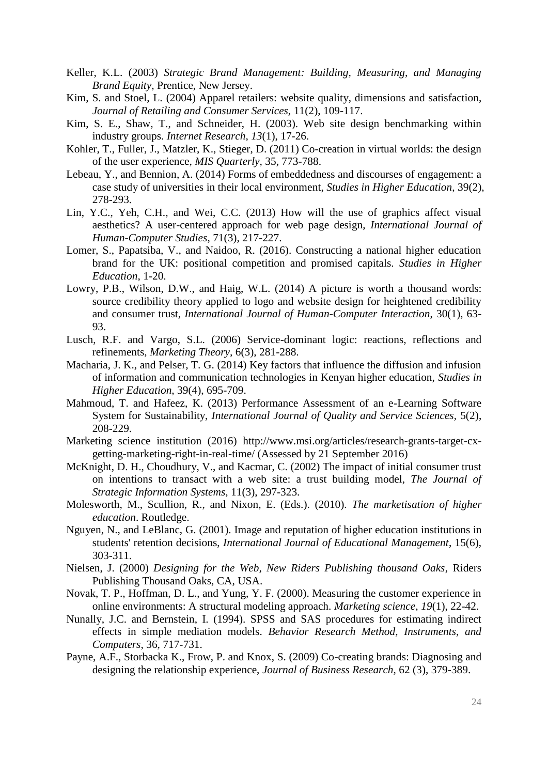- Keller, K.L. (2003) *Strategic Brand Management: Building, Measuring, and Managing Brand Equity*, Prentice, New Jersey.
- Kim, S. and Stoel, L. (2004) Apparel retailers: website quality, dimensions and satisfaction, *Journal of Retailing and Consumer Services,* 11(2), 109-117.
- Kim, S. E., Shaw, T., and Schneider, H. (2003). Web site design benchmarking within industry groups. *Internet Research*, *13*(1), 17-26.
- Kohler, T., Fuller, J., Matzler, K., Stieger, D. (2011) Co-creation in virtual worlds: the design of the user experience, *MIS Quarterly,* 35, 773-788.
- Lebeau, Y., and Bennion, A. (2014) Forms of embeddedness and discourses of engagement: a case study of universities in their local environment, *Studies in Higher Education*, 39(2), 278-293.
- Lin, Y.C., Yeh, C.H., and Wei, C.C. (2013) How will the use of graphics affect visual aesthetics? A user-centered approach for web page design, *International Journal of Human-Computer Studies*, 71(3), 217-227.
- Lomer, S., Papatsiba, V., and Naidoo, R. (2016). Constructing a national higher education brand for the UK: positional competition and promised capitals. *Studies in Higher Education*, 1-20.
- Lowry, P.B., Wilson, D.W., and Haig, W.L. (2014) A picture is worth a thousand words: source credibility theory applied to logo and website design for heightened credibility and consumer trust, *International Journal of Human-Computer Interaction*, 30(1), 63- 93.
- Lusch, R.F. and Vargo, S.L. (2006) Service-dominant logic: reactions, reflections and refinements, *Marketing Theory,* 6(3), 281-288.
- Macharia, J. K., and Pelser, T. G. (2014) Key factors that influence the diffusion and infusion of information and communication technologies in Kenyan higher education, *Studies in Higher Education*, 39(4), 695-709.
- Mahmoud, T. and Hafeez, K. (2013) Performance Assessment of an e-Learning Software System for Sustainability, *International Journal of Quality and Service Sciences,* 5(2), 208-229.
- Marketing science institution (2016) http://www.msi.org/articles/research-grants-target-cxgetting-marketing-right-in-real-time/ (Assessed by 21 September 2016)
- McKnight, D. H., Choudhury, V., and Kacmar, C. (2002) The impact of initial consumer trust on intentions to transact with a web site: a trust building model, *The Journal of Strategic Information Systems*, 11(3), 297-323.
- Molesworth, M., Scullion, R., and Nixon, E. (Eds.). (2010). *The marketisation of higher education*. Routledge.
- Nguyen, N., and LeBlanc, G. (2001). Image and reputation of higher education institutions in students' retention decisions, *International Journal of Educational Management*, 15(6), 303-311.
- Nielsen, J. (2000) *Designing for the Web, New Riders Publishing thousand Oaks*, Riders Publishing Thousand Oaks, CA, USA.
- Novak, T. P., Hoffman, D. L., and Yung, Y. F. (2000). Measuring the customer experience in online environments: A structural modeling approach. *Marketing science*, *19*(1), 22-42.
- Nunally, J.C. and Bernstein, I. (1994). SPSS and SAS procedures for estimating indirect effects in simple mediation models. *Behavior Research Method, Instruments, and Computers*, 36, 717-731.
- Payne, A.F., Storbacka K., Frow, P. and Knox, S. (2009) Co-creating brands: Diagnosing and designing the relationship experience, *Journal of Business Research,* 62 (3), 379-389.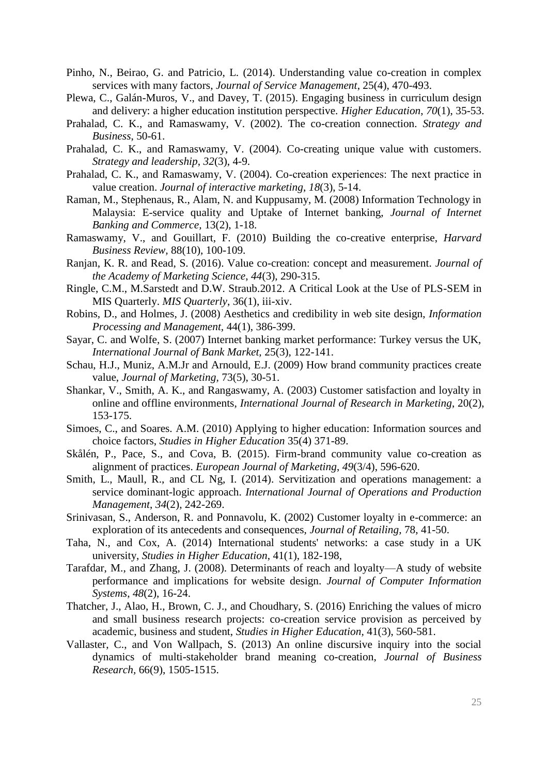- Pinho, N., Beirao, G. and Patricio, L. (2014). Understanding value co-creation in complex services with many factors, *Journal of Service Management*, 25(4), 470-493.
- Plewa, C., Galán-Muros, V., and Davey, T. (2015). Engaging business in curriculum design and delivery: a higher education institution perspective. *Higher Education*, *70*(1), 35-53.
- Prahalad, C. K., and Ramaswamy, V. (2002). The co-creation connection. *Strategy and Business*, 50-61.
- Prahalad, C. K., and Ramaswamy, V. (2004). Co-creating unique value with customers. *Strategy and leadership*, *32*(3), 4-9.
- Prahalad, C. K., and Ramaswamy, V. (2004). Co-creation experiences: The next practice in value creation. *Journal of interactive marketing*, *18*(3), 5-14.
- Raman, M., Stephenaus, R., Alam, N. and Kuppusamy, M. (2008) Information Technology in Malaysia: E-service quality and Uptake of Internet banking, *Journal of Internet Banking and Commerce,* 13(2), 1-18.
- Ramaswamy, V., and Gouillart, F. (2010) Building the co-creative enterprise, *Harvard Business Review,* 88(10), 100-109.
- Ranjan, K. R. and Read, S. (2016). Value co-creation: concept and measurement. *Journal of the Academy of Marketing Science*, *44*(3), 290-315.
- Ringle, C.M., M.Sarstedt and D.W. Straub.2012. A Critical Look at the Use of PLS-SEM in MIS Quarterly. *MIS Quarterly*, 36(1), iii-xiv.
- Robins, D., and Holmes, J. (2008) Aesthetics and credibility in web site design, *Information Processing and Management,* 44(1), 386-399.
- Sayar, C. and Wolfe, S. (2007) Internet banking market performance: Turkey versus the UK, *International Journal of Bank Market,* 25(3), 122-141.
- Schau, H.J., Muniz, A.M.Jr and Arnould, E.J. (2009) How brand community practices create value, *Journal of Marketing,* 73(5), 30-51.
- Shankar, V., Smith, A. K., and Rangaswamy, A. (2003) Customer satisfaction and loyalty in online and offline environments, *International Journal of Research in Marketing*, 20(2), 153-175.
- Simoes, C., and Soares. A.M. (2010) Applying to higher education: Information sources and choice factors, *Studies in Higher Education* 35(4) 371-89.
- Skålén, P., Pace, S., and Cova, B. (2015). Firm-brand community value co-creation as alignment of practices. *European Journal of Marketing*, *49*(3/4), 596-620.
- Smith, L., Maull, R., and CL Ng, I. (2014). Servitization and operations management: a service dominant-logic approach. *International Journal of Operations and Production Management*, *34*(2), 242-269.
- Srinivasan, S., Anderson, R. and Ponnavolu, K. (2002) Customer loyalty in e-commerce: an exploration of its antecedents and consequences, *Journal of Retailing,* 78, 41-50.
- Taha, N., and Cox, A. (2014) International students' networks: a case study in a UK university, *Studies in Higher Education*, 41(1), 182-198,
- Tarafdar, M., and Zhang, J. (2008). Determinants of reach and loyalty—A study of website performance and implications for website design. *Journal of Computer Information Systems*, *48*(2), 16-24.
- Thatcher, J., Alao, H., Brown, C. J., and Choudhary, S. (2016) Enriching the values of micro and small business research projects: co-creation service provision as perceived by academic, business and student, *Studies in Higher Education,* 41(3), 560-581.
- Vallaster, C., and Von Wallpach, S. (2013) An online discursive inquiry into the social dynamics of multi-stakeholder brand meaning co-creation, *Journal of Business Research,* 66(9), 1505-1515.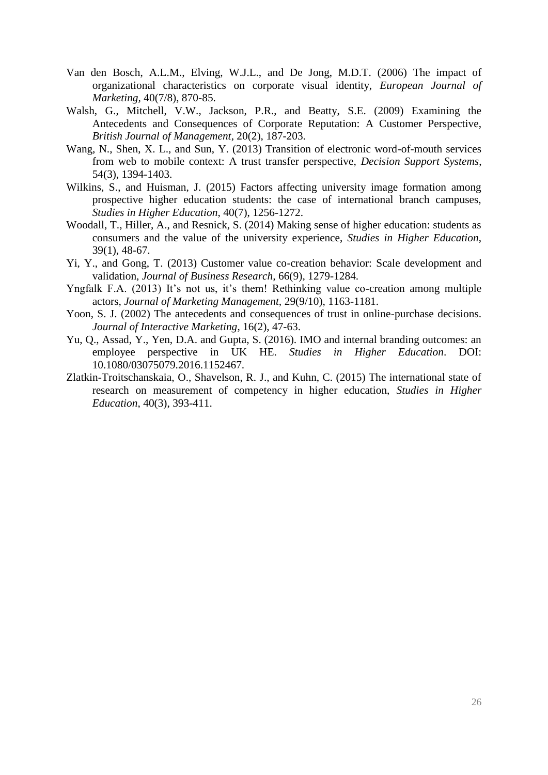- Van den Bosch, A.L.M., Elving, W.J.L., and De Jong, M.D.T. (2006) The impact of organizational characteristics on corporate visual identity, *European Journal of Marketing,* 40(7/8), 870-85.
- Walsh, G., Mitchell, V.W., Jackson, P.R., and Beatty, S.E. (2009) Examining the Antecedents and Consequences of Corporate Reputation: A Customer Perspective, *British Journal of Management*, 20(2), 187-203.
- Wang, N., Shen, X. L., and Sun, Y. (2013) Transition of electronic word-of-mouth services from web to mobile context: A trust transfer perspective, *Decision Support Systems*, 54(3), 1394-1403.
- Wilkins, S., and Huisman, J. (2015) Factors affecting university image formation among prospective higher education students: the case of international branch campuses, *Studies in Higher Education*, 40(7), 1256-1272.
- Woodall, T., Hiller, A., and Resnick, S. (2014) Making sense of higher education: students as consumers and the value of the university experience, *Studies in Higher Education*, 39(1), 48-67.
- Yi, Y., and Gong, T. (2013) Customer value co-creation behavior: Scale development and validation, *Journal of Business Research,* 66(9), 1279-1284.
- Yngfalk F.A. (2013) It's not us, it's them! Rethinking value co-creation among multiple actors, *Journal of Marketing Management,* 29(9/10), 1163-1181.
- Yoon, S. J. (2002) The antecedents and consequences of trust in online-purchase decisions. *Journal of Interactive Marketing*, 16(2), 47-63.
- Yu, Q., Assad, Y., Yen, D.A. and Gupta, S. (2016). IMO and internal branding outcomes: an employee perspective in UK HE. *Studies in Higher Education*. DOI: 10.1080/03075079.2016.1152467.
- Zlatkin-Troitschanskaia, O., Shavelson, R. J., and Kuhn, C. (2015) The international state of research on measurement of competency in higher education, *Studies in Higher Education*, 40(3), 393-411.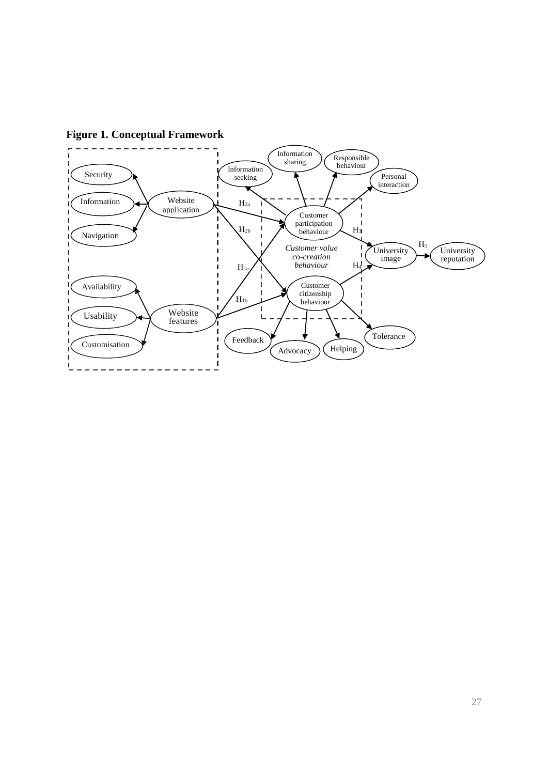

**Figure 1. Conceptual Framework**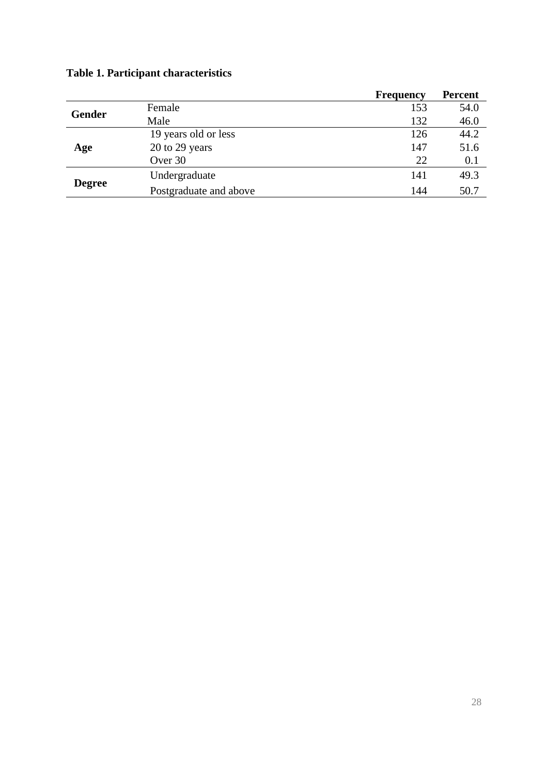|               |                        | <b>Frequency</b> | <b>Percent</b> |
|---------------|------------------------|------------------|----------------|
|               | Female                 | 153              | 54.0           |
| <b>Gender</b> | Male                   | 132              | 46.0           |
|               | 19 years old or less   | 126              | 44.2           |
| Age           | 20 to 29 years         | 147              | 51.6           |
|               | Over 30                | 22               | 0.1            |
|               | Undergraduate          | 141              | 49.3           |
| <b>Degree</b> | Postgraduate and above | 144              | 50.7           |

# **Table 1. Participant characteristics**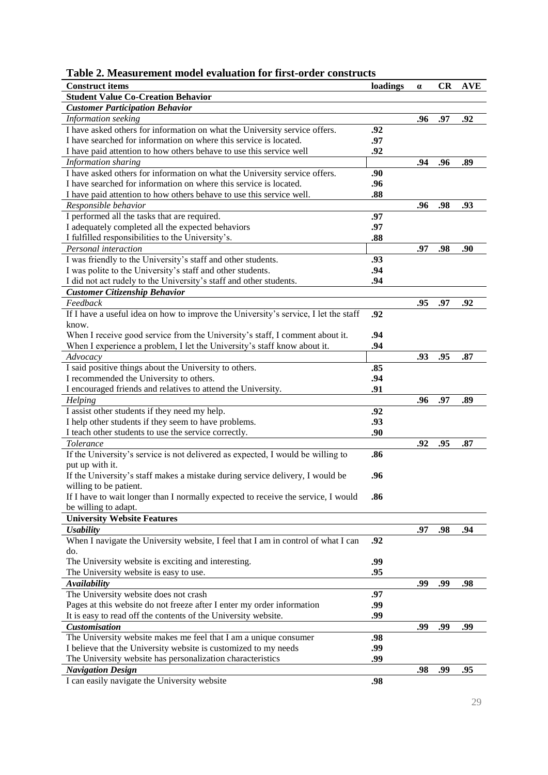| Table 2. Measurement model evaluation for first-order constructs |  |  |  |  |  |  |  |  |  |  |  |  |
|------------------------------------------------------------------|--|--|--|--|--|--|--|--|--|--|--|--|
|------------------------------------------------------------------|--|--|--|--|--|--|--|--|--|--|--|--|

| <b>Construct items</b>                                                              | loadings | $\alpha$ | CR  | <b>AVE</b> |
|-------------------------------------------------------------------------------------|----------|----------|-----|------------|
| <b>Student Value Co-Creation Behavior</b>                                           |          |          |     |            |
| <b>Customer Participation Behavior</b>                                              |          |          |     |            |
| Information seeking                                                                 |          | .96      | .97 | .92        |
| I have asked others for information on what the University service offers.          | .92      |          |     |            |
| I have searched for information on where this service is located.                   | .97      |          |     |            |
| I have paid attention to how others behave to use this service well                 | .92      |          |     |            |
| Information sharing                                                                 |          | .94      | .96 | .89        |
| I have asked others for information on what the University service offers.          | .90      |          |     |            |
| I have searched for information on where this service is located.                   | .96      |          |     |            |
| I have paid attention to how others behave to use this service well.                | .88      |          |     |            |
| Responsible behavior                                                                |          | .96      | .98 | .93        |
| I performed all the tasks that are required.                                        | .97      |          |     |            |
| I adequately completed all the expected behaviors                                   | .97      |          |     |            |
| I fulfilled responsibilities to the University's.                                   | .88      |          |     |            |
| Personal interaction                                                                |          | .97      | .98 | .90        |
| I was friendly to the University's staff and other students.                        | .93      |          |     |            |
| I was polite to the University's staff and other students.                          | .94      |          |     |            |
| I did not act rudely to the University's staff and other students.                  | .94      |          |     |            |
| <b>Customer Citizenship Behavior</b>                                                |          |          |     |            |
| $\textit{Feedback}$                                                                 |          | .95      | .97 | .92        |
| If I have a useful idea on how to improve the University's service, I let the staff | .92      |          |     |            |
| know.                                                                               |          |          |     |            |
| When I receive good service from the University's staff, I comment about it.        | .94      |          |     |            |
| When I experience a problem, I let the University's staff know about it.            | .94      |          |     |            |
| Advocacy                                                                            |          | .93      | .95 | .87        |
| I said positive things about the University to others.                              | .85      |          |     |            |
| I recommended the University to others.                                             | .94      |          |     |            |
| I encouraged friends and relatives to attend the University.                        | .91      |          |     |            |
| Helping                                                                             |          | .96      | .97 | .89        |
| I assist other students if they need my help.                                       | .92      |          |     |            |
| I help other students if they seem to have problems.                                | .93      |          |     |            |
| I teach other students to use the service correctly.                                | .90      |          |     |            |
| Tolerance                                                                           |          | .92      | .95 | .87        |
| If the University's service is not delivered as expected, I would be willing to     | .86      |          |     |            |
| put up with it.                                                                     |          |          |     |            |
| If the University's staff makes a mistake during service delivery, I would be       | .96      |          |     |            |
| willing to be patient.                                                              |          |          |     |            |
| If I have to wait longer than I normally expected to receive the service, I would   | .86      |          |     |            |
| be willing to adapt.                                                                |          |          |     |            |
| <b>University Website Features</b>                                                  |          |          |     |            |
| <b>Usability</b>                                                                    |          | .97      | .98 | .94        |
| When I navigate the University website, I feel that I am in control of what I can   | .92      |          |     |            |
| do.                                                                                 |          |          |     |            |
| The University website is exciting and interesting.                                 | .99      |          |     |            |
| The University website is easy to use.                                              | .95      |          |     |            |
| <b>Availability</b>                                                                 |          | .99      | .99 | .98        |
| The University website does not crash                                               | .97      |          |     |            |
| Pages at this website do not freeze after I enter my order information              | .99      |          |     |            |
| It is easy to read off the contents of the University website.                      | .99      |          |     |            |
| <b>Customisation</b>                                                                |          | .99      | .99 | .99        |
| The University website makes me feel that I am a unique consumer                    | .98      |          |     |            |
| I believe that the University website is customized to my needs                     | .99      |          |     |            |
| The University website has personalization characteristics                          | .99      |          |     |            |
| <b>Navigation Design</b>                                                            |          | .98      | .99 | .95        |
| I can easily navigate the University website                                        | .98      |          |     |            |
|                                                                                     |          |          |     |            |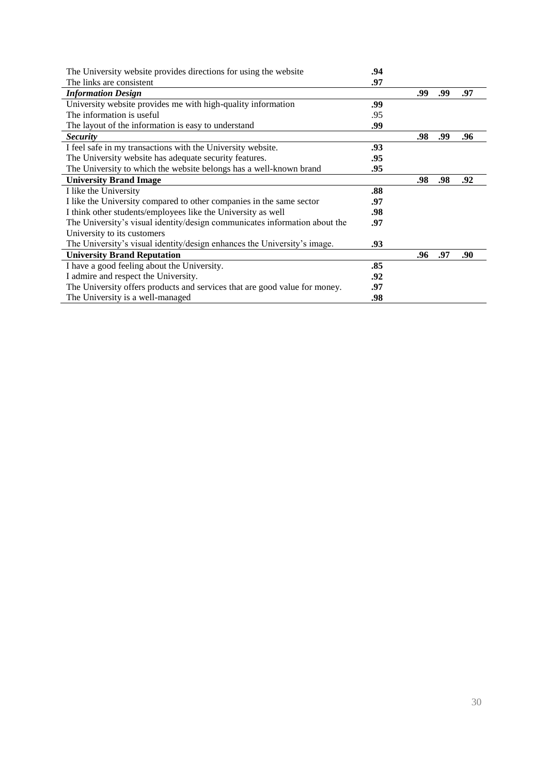| The University website provides directions for using the website           | .94 |     |     |     |
|----------------------------------------------------------------------------|-----|-----|-----|-----|
| The links are consistent                                                   | .97 |     |     |     |
| <b>Information Design</b>                                                  |     | .99 | .99 | .97 |
| University website provides me with high-quality information               | .99 |     |     |     |
| The information is useful                                                  | .95 |     |     |     |
| The layout of the information is easy to understand                        | .99 |     |     |     |
| <i>Security</i>                                                            |     | .98 | .99 | .96 |
| I feel safe in my transactions with the University website.                | .93 |     |     |     |
| The University website has adequate security features.                     | .95 |     |     |     |
| The University to which the website belongs has a well-known brand         | .95 |     |     |     |
| <b>University Brand Image</b>                                              |     | .98 | .98 | .92 |
| I like the University                                                      | .88 |     |     |     |
| I like the University compared to other companies in the same sector       | .97 |     |     |     |
| I think other students/employees like the University as well               | .98 |     |     |     |
| The University's visual identity/design communicates information about the | .97 |     |     |     |
| University to its customers                                                |     |     |     |     |
| The University's visual identity/design enhances the University's image.   | .93 |     |     |     |
| <b>University Brand Reputation</b>                                         |     | .96 | .97 | .90 |
| I have a good feeling about the University.                                | .85 |     |     |     |
| I admire and respect the University.                                       | .92 |     |     |     |
| The University offers products and services that are good value for money. | .97 |     |     |     |
| The University is a well-managed                                           | .98 |     |     |     |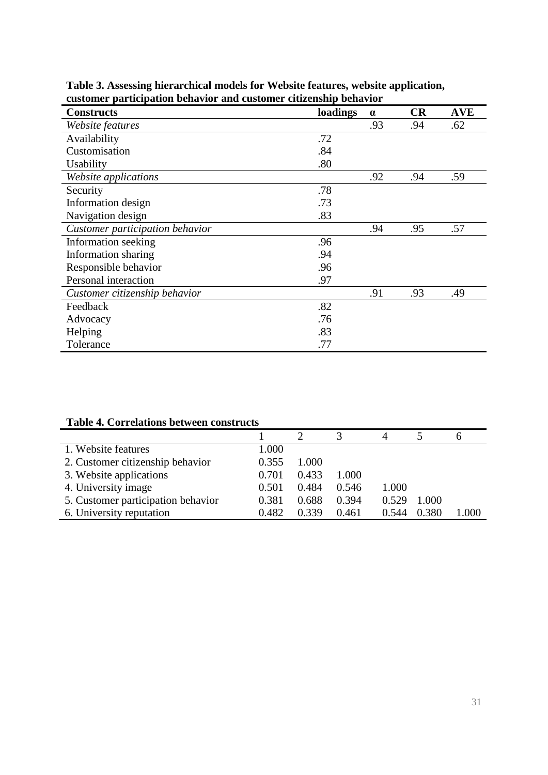| <b>Constructs</b>               | loadings | $\alpha$ | CR  | <b>AVE</b> |
|---------------------------------|----------|----------|-----|------------|
| Website features                |          | .93      | .94 | .62        |
| Availability                    | .72      |          |     |            |
| Customisation                   | .84      |          |     |            |
| Usability                       | .80      |          |     |            |
| Website applications            |          | .92      | .94 | .59        |
| Security                        | .78      |          |     |            |
| Information design              | .73      |          |     |            |
| Navigation design               | .83      |          |     |            |
| Customer participation behavior |          | .94      | .95 | .57        |
| Information seeking             | .96      |          |     |            |
| Information sharing             | .94      |          |     |            |
| Responsible behavior            | .96      |          |     |            |
| Personal interaction            | .97      |          |     |            |
| Customer citizenship behavior   |          | .91      | .93 | .49        |
| Feedback                        | .82      |          |     |            |
| Advocacy                        | .76      |          |     |            |
| Helping                         | .83      |          |     |            |
| Tolerance                       | .77      |          |     |            |

**Table 3. Assessing hierarchical models for Website features, website application, customer participation behavior and customer citizenship behavior**

# **Table 4. Correlations between constructs**

|                                    |       |       |       |       |       | o     |
|------------------------------------|-------|-------|-------|-------|-------|-------|
| 1. Website features                | 1.000 |       |       |       |       |       |
| 2. Customer citizenship behavior   | 0.355 | 1.000 |       |       |       |       |
| 3. Website applications            | 0.701 | 0.433 | 1.000 |       |       |       |
| 4. University image                | 0.501 | 0.484 | 0.546 | 1.000 |       |       |
| 5. Customer participation behavior | 0.381 | 0.688 | 0.394 | 0.529 | 1.000 |       |
| 6. University reputation           | 0.482 | 0.339 | 0.461 | 0.544 | 0.380 | 1.000 |